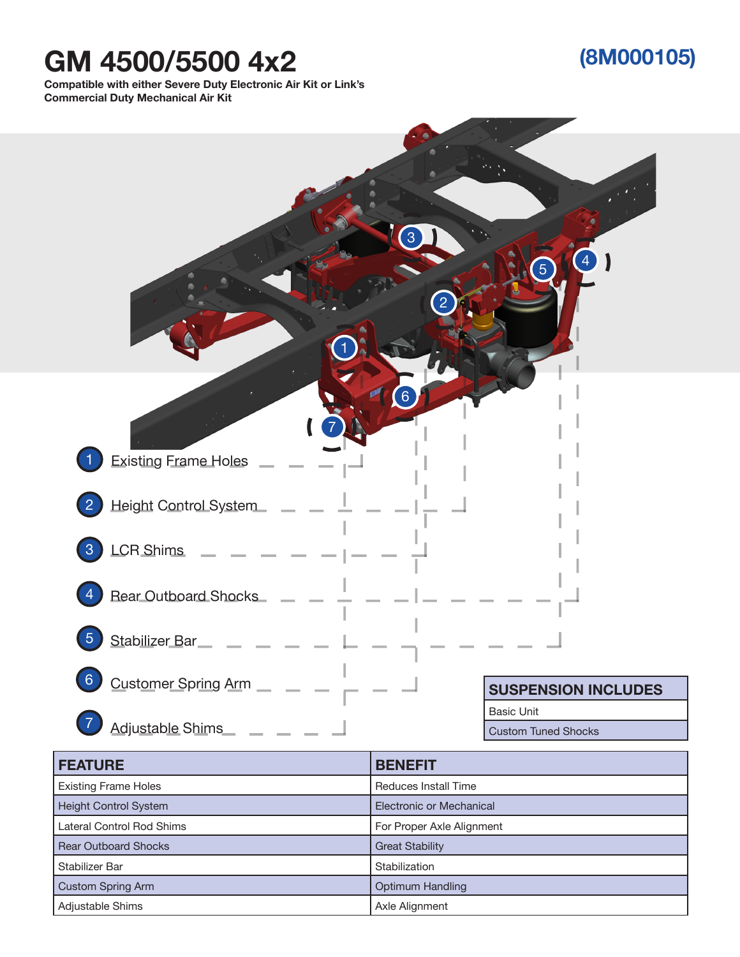## **GM 4500/5500 4x2**

## **(8M000105)**

**Compatible with either Severe Duty Electronic Air Kit or Link's Commercial Duty Mechanical Air Kit**



| <b>FEATURE</b>               | <b>BENEFIT</b>              |
|------------------------------|-----------------------------|
| <b>Existing Frame Holes</b>  | <b>Reduces Install Time</b> |
| <b>Height Control System</b> | Electronic or Mechanical    |
| Lateral Control Rod Shims    | For Proper Axle Alignment   |
| <b>Rear Outboard Shocks</b>  | <b>Great Stability</b>      |
| Stabilizer Bar               | Stabilization               |
| <b>Custom Spring Arm</b>     | <b>Optimum Handling</b>     |
| Adjustable Shims             | Axle Alignment              |